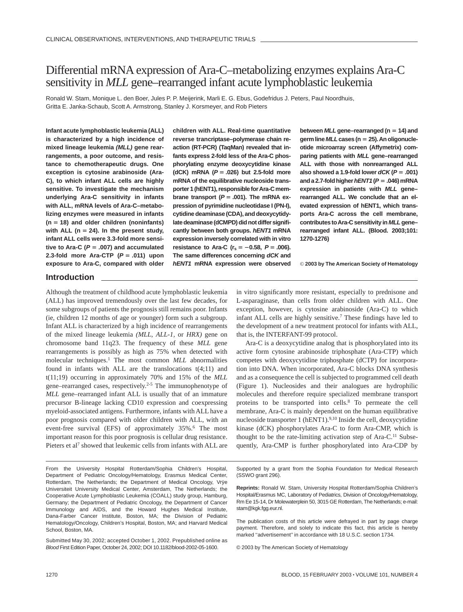# Differential mRNA expression of Ara-C–metabolizing enzymes explains Ara-C sensitivity in *MLL* gene–rearranged infant acute lymphoblastic leukemia

Ronald W. Stam, Monique L. den Boer, Jules P. P. Meijerink, Marli E. G. Ebus, Godefridus J. Peters, Paul Noordhuis, Gritta E. Janka-Schaub, Scott A. Armstrong, Stanley J. Korsmeyer, and Rob Pieters

**Infant acute lymphoblastic leukemia (ALL) is characterized by a high incidence of mixed lineage leukemia (MLL) gene rearrangements, a poor outcome, and resistance to chemotherapeutic drugs. One exception is cytosine arabinoside (Ara-C), to which infant ALL cells are highly sensitive. To investigate the mechanism underlying Ara-C sensitivity in infants with ALL, mRNA levels of Ara-C–metabolizing enzymes were measured in infants (n 18) and older children (noninfants)** with ALL ( $n = 24$ ). In the present study, **infant ALL cells were 3.3-fold more sensi**tive to Ara-C ( $P = .007$ ) and accumulated **2.3-fold more Ara-CTP (P .011) upon exposure to Ara-C, compared with older**

**children with ALL. Real-time quantitative reverse trancriptase–polymerase chain reaction (RT-PCR) (TaqMan) revealed that infants express 2-fold less of the Ara-C phosphorylating enzyme deoxycytidine kinase (dCK) mRNA (P .026) but 2.5-fold more mRNA of the equilibrative nucleoside trans**porter 1 (hENT1), responsible for Ara-C membrane transport  $(P = .001)$ . The mRNA ex**pression of pyrimidine nucleotidase I (PN-I), cytidine deaminase (CDA), and deoxycytidy**late deaminase (dCMPD) did not differ signifi**cantly between both groups. hENT1 mRNA expression inversely correlated with in vitro resistance to Ara-C (** $r_s = -0.58$ **,**  $P = .006$ **). The same differences concerning dCK and hENT1 mRNA expression were observed** **between MLL gene–rearranged (n 14) and germ line MLLcases (n 25).An oligonucleotide microarray screen (Affymetrix) comparing patients with MLL gene–rearranged ALL with those with nonrearranged ALL** also showed a 1.9-fold lower  $dCK(P=.001)$ and a 2.7-fold higher  $hENT1$  ( $P = .046$ ) mRNA **expression in patients with MLL gene– rearranged ALL. We conclude that an elevated expression of hENT1, which transports Ara-C across the cell membrane, contributes toAra-C sensitivity in MLLgene– rearranged infant ALL. (Blood. 2003;101: 1270-1276)**

© **2003 by The American Society of Hematology**

## **Introduction**

Although the treatment of childhood acute lymphoblastic leukemia (ALL) has improved tremendously over the last few decades, for some subgroups of patients the prognosis still remains poor. Infants (ie, children 12 months of age or younger) form such a subgroup. Infant ALL is characterized by a high incidence of rearrangements of the mixed lineage leukemia *(MLL*, *ALL-1,* or *HRX)* gene on chromosome band 11q23. The frequency of these *MLL* gene rearrangements is possibly as high as 75% when detected with molecular techniques.1 The most common *MLL* abnormalities found in infants with ALL are the translocations t(4;11) and t(11;19) occurring in approximately 70% and 15% of the *MLL* gene–rearranged cases, respectively.2-5 The immunophenotype of *MLL* gene–rearranged infant ALL is usually that of an immature precursor B-lineage lacking CD10 expression and coexpressing myeloid-associated antigens. Furthermore, infants with ALL have a poor prognosis compared with older children with ALL, with an event-free survival (EFS) of approximately 35%.<sup>6</sup> The most important reason for this poor prognosis is cellular drug resistance. Pieters et al<sup>7</sup> showed that leukemic cells from infants with ALL are

From the University Hospital Rotterdam/Sophia Children's Hospital, Department of Pediatric Oncology/Hematology, Erasmus Medical Center, Rotterdam, The Netherlands; the Department of Medical Oncology, Vrye Universiteit University Medical Center, Amsterdam, The Netherlands; the Cooperative Acute Lymphoblastic Leukemia (COALL) study group, Hamburg, Germany; the Department of Pediatric Oncology, the Department of Cancer Immunology and AIDS, and the Howard Hughes Medical Institute, Dana-Farber Cancer Institute, Boston, MA; the Division of Pediatric Hematology/Oncology, Children's Hospital, Boston, MA; and Harvard Medical School, Boston, MA.

Submitted May 30, 2002; accepted October 1, 2002. Prepublished online as Blood First Edition Paper, October 24, 2002; DOI 10.1182/blood-2002-05-1600.

in vitro significantly more resistant, especially to prednisone and L-asparaginase, than cells from older children with ALL. One exception, however, is cytosine arabinoside (Ara-C) to which infant ALL cells are highly sensitive.7 These findings have led to the development of a new treatment protocol for infants with ALL, that is, the INTERFANT-99 protocol.

Ara-C is a deoxycytidine analog that is phosphorylated into its active form cytosine arabinoside triphosphate (Ara-CTP) which competes with deoxycytidine triphosphate (dCTP) for incorporation into DNA. When incorporated, Ara-C blocks DNA synthesis and as a consequence the cell is subjected to programmed cell death (Figure 1). Nucleosides and their analogues are hydrophilic molecules and therefore require specialized membrane transport proteins to be transported into cells.8 To permeate the cell membrane, Ara-C is mainly dependent on the human equilibrative nucleoside transporter 1 (hENT1). $9,10$  Inside the cell, deoxycytidine kinase (dCK) phosphorylates Ara-C to form Ara-CMP, which is thought to be the rate-limiting activation step of Ara-C.11 Subsequently, Ara-CMP is further phosphorylated into Ara-CDP by

Supported by a grant from the Sophia Foundation for Medical Research (SSWO grant 296).

**Reprints:** Ronald W. Stam, University Hospital Rotterdam/Sophia Children's Hospital/Erasmus MC, Laboratory of Pediatrics, Division of Oncology/Hematology, Rm Ee 15-14, Dr Molewaterplein 50, 3015 GE Rotterdam, The Netherlands; e-mail: stam@kgk.fgg.eur.nl.

The publication costs of this article were defrayed in part by page charge payment. Therefore, and solely to indicate this fact, this article is hereby marked "advertisement" in accordance with 18 U.S.C. section 1734.

© 2003 by The American Society of Hematology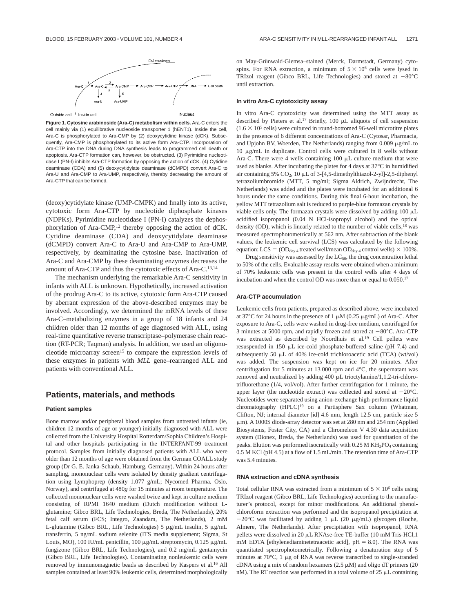

**Figure 1. Cytosine arabinoside (Ara-C) metabolism within cells.** Ara-C enters the cell mainly via (1) equilibrative nucleoside transporter 1 (hENT1). Inside the cell, Ara-C is phosphorylated to Ara-CMP by (2) deoxycytidine kinase (dCK). Subsequently, Ara-CMP is phosphorylated to its active form Ara-CTP. Incorporation of Ara-CTP into the DNA during DNA synthesis leads to programmed cell death or apoptosis. Ara-CTP formation can, however, be obstructed. (3) Pyrimidine nucleotidase I (PN-I) inhibits Ara-CTP formation by opposing the action of dCK. (4) Cytidine deaminase (CDA) and (5) deoxycytidylate deaminase (dCMPD) convert Ara-C to Ara-U and Ara-CMP to Ara-UMP, respectively, thereby decreasing the amount of Ara-CTP that can be formed.

(deoxy)cytidylate kinase (UMP-CMPK) and finally into its active, cytotoxic form Ara-CTP by nucleotide diphosphate kinases (NDPKs). Pyrimidine nucleotidase I (PN-I) catalyzes the dephosphorylation of Ara-CMP,<sup>12</sup> thereby opposing the action of dCK. Cytidine deaminase (CDA) and deoxycytidylate deaminase (dCMPD) convert Ara-C to Ara-U and Ara-CMP to Ara-UMP, respectively, by deaminating the cytosine base. Inactivation of Ara-C and Ara-CMP by these deaminating enzymes decreases the amount of Ara-CTP and thus the cytotoxic effects of Ara-C.13,14

The mechanism underlying the remarkable Ara-C sensitivity in infants with ALL is unknown. Hypothetically, increased activation of the prodrug Ara-C to its active, cytotoxic form Ara-CTP caused by aberrant expression of the above-described enzymes may be involved. Accordingly, we determined the mRNA levels of these Ara-C–metabolizing enzymes in a group of 18 infants and 24 children older than 12 months of age diagnosed with ALL, using real-time quantitative reverse transcriptase–polymerase chain reaction (RT-PCR; Taqman) analysis. In addition, we used an oligonucleotide microarray screen<sup>15</sup> to compare the expression levels of these enzymes in patients with *MLL* gene–rearranged ALL and patients with conventional ALL.

## **Patients, materials, and methods**

#### **Patient samples**

Bone marrow and/or peripheral blood samples from untreated infants (ie, children 12 months of age or younger) initially diagnosed with ALL were collected from the University Hospital Rotterdam/Sophia Children's Hospital and other hospitals participating in the INTERFANT-99 treatment protocol. Samples from initially diagnosed patients with ALL who were older than 12 months of age were obtained from the German COALL study group (Dr G. E. Janka-Schaub, Hamburg, Germany). Within 24 hours after sampling, mononuclear cells were isolated by density gradient centrifugation using Lymphoprep (density 1.077 g/mL; Nycomed Pharma, Oslo, Norway), and centrifuged at 480*g* for 15 minutes at room temperature. The collected mononuclear cells were washed twice and kept in culture medium consisting of RPMI 1640 medium (Dutch modification without Lglutamine; Gibco BRL, Life Technologies, Breda, The Netherlands), 20% fetal calf serum (FCS; Integro, Zaandam, The Netherlands), 2 mM L-glutamine (Gibco BRL, Life Technologies) 5 µg/mL insulin, 5 µg/mL transferrin, 5 ng/mL sodium selenite (ITS media supplement; Sigma, St Louis, MO), 100 IU/mL penicillin, 100  $\mu\text{g/mL}$  streptomycin, 0.125  $\mu\text{g/mL}$ fungizone (Gibco BRL, Life Technologies), and 0.2 mg/mL gentamycin (Gibco BRL, Life Technologies). Contaminating nonleukemic cells were removed by immunomagnetic beads as described by Kaspers et al.16 All samples contained at least 90% leukemic cells, determined morphologically

on May-Grünwald-Giemsa-stained (Merck, Darmstadt, Germany) cytospins. For RNA extraction, a minimum of  $5 \times 10^6$  cells were lysed in TRIzol reagent (Gibco BRL, Life Technologies) and stored at  $-80^{\circ}$ C until extraction.

#### **In vitro Ara-C cytotoxicity assay**

In vitro Ara-C cytotoxicity was determined using the MTT assay as described by Pieters et al.<sup>17</sup> Briefly, 100  $\mu$ L aliquots of cell suspension  $(1.6 \times 10^5 \text{ cells})$  were cultured in round-bottomed 96-well microtitre plates in the presence of 6 different concentrations of Ara-C (Cytosar, Pharmacia, and Upjohn BV, Woerden, The Netherlands) ranging from  $0.009 \mu g/mL$  to  $10 \mu g/mL$  in duplicate. Control cells were cultured in 8 wells without Ara-C. There were 4 wells containing  $100 \mu L$  culture medium that were used as blanks. After incubating the plates for 4 days at 37°C in humidified air containing 5%  $CO_2$ , 10 µL of 3-[4,5-dimethylthiazol-2-yl]-2,5-diphenyl tetrazoliumbromide (MTT, 5 mg/ml; Sigma Aldrich, Zwijndrecht, The Netherlands) was added and the plates were incubated for an additional 6 hours under the same conditions. During this final 6-hour incubation, the yellow MTT tetrazolium salt is reduced to purple-blue formazan crystals by viable cells only. The formazan crystals were dissolved by adding  $100 \mu L$ acidified isopropanol (0.04 N HCl-isopropyl alcohol) and the optical density (OD), which is linearly related to the number of viable cells,<sup>18</sup> was measured spectrophotometrically at 562 nm. After subtraction of the blank values, the leukemic cell survival (LCS) was calculated by the following equation: LCS =  $OD_{day 4}$  treated well/mean  $OD_{day 4}$  control wells)  $\times$  100%.

Drug sensitivity was assessed by the  $LC_{50}$ , the drug concentration lethal to 50% of the cells. Evaluable assay results were obtained when a minimum of 70% leukemic cells was present in the control wells after 4 days of incubation and when the control OD was more than or equal to 0.050.17

#### **Ara-CTP accumulation**

Leukemic cells from patients, prepared as described above, were incubated at 37°C for 24 hours in the presence of 1  $\mu$ M (0.25  $\mu$ g/mL) of Ara-C. After exposure to Ara-C, cells were washed in drug-free medium, centrifuged for 3 minutes at 5000 rpm, and rapidly frozen and stored at  $-80^{\circ}$ C. Ara-CTP was extracted as described by Noordhuis et al.<sup>19</sup> Cell pellets were resuspended in 150  $\mu$ L ice-cold phosphate-buffered saline (pH 7.4) and subsequently 50  $\mu$ L of 40% ice-cold trichloroacetic acid (TCA) (wt/vol) was added. The suspension was kept on ice for 20 minutes. After centrifugation for 5 minutes at 13 000 rpm and 4°C, the supernatant was removed and neutralized by adding 400  $\mu$ L trioctylamine/1,1,2-tri-chlorotrifluorethane (1/4, vol/vol). After further centrifugation for 1 minute, the upper layer (the nucleotide extract) was collected and stored at  $-20^{\circ}$ C. Nucleotides were separated using anion-exchange high-performance liquid chromatography (HPLC)<sup>19</sup> on a Partisphere Sax column (Whatman, Clifton, NJ; internal diameter [id] 4.6 mm, length 12.5 cm, particle size 5 m). A 1000S diode-array detector was set at 280 nm and 254 nm (Applied Biosystems, Foster City, CA) and a Chromeleon V 4.30 data acquisition system (Dionex, Breda, the Netherlands) was used for quantitation of the peaks. Elution was performed isocratically with  $0.25$  M KH<sub>2</sub>PO<sub>4</sub> containing 0.5 M KCl (pH 4.5) at a flow of 1.5 mL/min. The retention time of Ara-CTP was 5.4 minutes.

#### **RNA extraction and cDNA synthesis**

Total cellular RNA was extracted from a minimum of  $5 \times 10^6$  cells using TRIzol reagent (Gibco BRL, Life Technologies) according to the manufacturer's protocol, except for minor modifications. An additional phenolchloroform extraction was performed and the isopropanol precipitation at  $-20^{\circ}$ C was facilitated by adding 1  $\mu$ L (20  $\mu$ g/mL) glycogen (Roche, Almere, The Netherlands). After precipitation with isopropanol, RNA pellets were dissolved in 20  $\mu$ L RNAse-free TE-buffer (10 mM Tris-HCl,1 mM EDTA [ethylenediaminetetraacetic acid],  $pH = 8.0$ ). The RNA was quantitated spectrophotometrically. Following a denaturation step of 5 minutes at  $70^{\circ}$ C, 1  $\mu$ g of RNA was reverse transcribed to single-stranded cDNA using a mix of random hexamers  $(2.5 \mu M)$  and oligo dT primers  $(20$ nM). The RT reaction was performed in a total volume of 25  $\mu$ L containing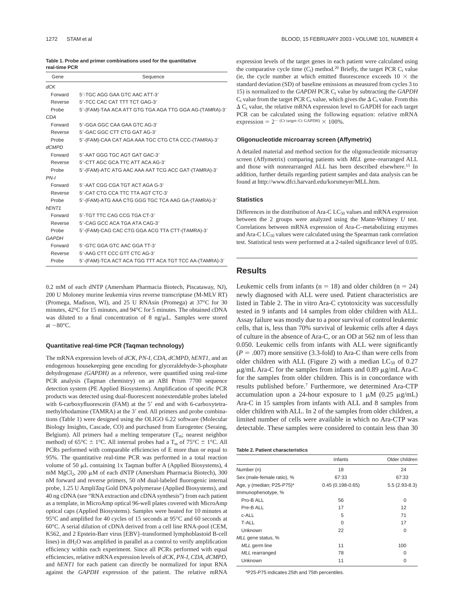| Table 1. Probe and primer combinations used for the quantitative |  |  |
|------------------------------------------------------------------|--|--|
| real-time PCR                                                    |  |  |

| Gene              | Sequence                                               |  |  |
|-------------------|--------------------------------------------------------|--|--|
| dCK               |                                                        |  |  |
| Forward           | 5'-TGC AGG GAA GTC AAC ATT-3'                          |  |  |
| Reverse           | 5'-TCC CAC CAT TTT TCT GAG-3'                          |  |  |
| Probe             | 5'-(FAM)-TAA ACA ATT GTG TGA AGA TTG GGA AG-(TAMRA)-3' |  |  |
| <b>CDA</b>        |                                                        |  |  |
| Forward           | 5'-GGA GGC CAA GAA GTC AG-3'                           |  |  |
| Reverse           | 5'-GAC GGC CTT CTG GAT AG-3'                           |  |  |
| Probe             | 5'-(FAM)-CAA CAT AGA AAA TGC CTG CTA CCC-(TAMRA)-3'    |  |  |
| <b>dCMPD</b>      |                                                        |  |  |
| Forward           | 5'-AAT GGG TGC AGT GAT GAC-3'                          |  |  |
| Reverse           | 5'-CTT AGC GCA TTC ATT ACA AG-3'                       |  |  |
| Probe             | 5'-(FAM)-ATC ATG AAC AAA AAT TCG ACC GAT-(TAMRA)-3'    |  |  |
| $PN-I$            |                                                        |  |  |
| Forward           | 5'-AAT CGG CGA TGT ACT AGA G-3'                        |  |  |
| Reverse           | 5'-CAT CTG CCA TTC TTA AGT CTC-3'                      |  |  |
| Probe             | 5'-(FAM)-ATG AAA CTG GGG TGC TCA AAG GA-(TAMRA)-3'     |  |  |
| hENT <sub>1</sub> |                                                        |  |  |
| Forward           | 5'-TGT TTC CAG CCG TGA CT-3'                           |  |  |
| Reverse           | 5'-CAG GCC ACA TGA ATA CAG-3'                          |  |  |
| Probe             | 5'-(FAM)-CAG CAC CTG GGA ACG TTA CTT-(TAMRA)-3'        |  |  |
| <b>GAPDH</b>      |                                                        |  |  |
| Forward           | 5'-GTC GGA GTC AAC GGA TT-3'                           |  |  |
| Reverse           | 5'-AAG CTT CCC GTT CTC AG-3'                           |  |  |
| Probe             | 5'-(FAM)-TCA ACT ACA TGG TTT ACA TGT TCC AA-(TAMRA)-3' |  |  |

0.2 mM of each dNTP (Amersham Pharmacia Biotech, Piscataway, NJ), 200 U Moloney murine leukemia virus reverse transcriptase (M-MLV RT) (Promega, Madison, WI), and 25 U RNAsin (Promega) at 37°C for 30 minutes, 42°C for 15 minutes, and 94°C for 5 minutes. The obtained cDNA was diluted to a final concentration of 8 ng/µL. Samples were stored at  $-80^{\circ}$ C.

#### **Quantitative real-time PCR (Taqman technology)**

The mRNA expression levels of *dCK*, *PN-I*, *CDA*, *dCMPD*, *hENT1,* and an endogenous housekeeping gene encoding for glyceraldehyde-3-phosphate dehydrogenase *(GAPDH)* as a reference, were quantified using real-time PCR analysis (Taqman chemistry) on an ABI Prism 7700 sequence detection system (PE Applied Biosystems). Amplification of specific PCR products was detected using dual-fluorescent nonextendable probes labeled with 6-carboxyfluorescein (FAM) at the 5' end and with 6-carboxytetramethylrhodamine (TAMRA) at the 3' end. All primers and probe combinations (Table 1) were designed using the OLIGO 6.22 software (Molecular Biology Insights, Cascade, CO) and purchased from Eurogentec (Seraing, Belgium). All primers had a melting temperature  $(T_m;$  nearest neighbor method) of 65 $^{\circ}$ C  $\pm$  1 $^{\circ}$ C. All internal probes had a T<sub>m</sub> of 75 $^{\circ}$ C  $\pm$  1 $^{\circ}$ C. All PCRs performed with comparable efficiencies of E more than or equal to 95%. The quantitative real-time PCR was performed in a total reaction volume of 50  $\mu$ L containing 1x Taqman buffer A (Applied Biosystems), 4 mM MgCl<sub>2</sub>, 200 μM of each dNTP (Amersham Pharmacia Biotech), 300 nM forward and reverse primers, 50 nM dual-labeled fluorogenic internal probe, 1.25 U Ampli*Taq* Gold DNA polymerase (Applied Biosystems), and 40 ng cDNA (see "RNA extraction and cDNA synthesis") from each patient as a template, in MicroAmp optical 96-well plates covered with MicroAmp optical caps (Applied Biosystems). Samples were heated for 10 minutes at 95°C and amplified for 40 cycles of 15 seconds at 95°C and 60 seconds at 60°C. A serial dilution of cDNA derived from a cell line RNA-pool (CEM, K562, and 2 Epstein-Barr virus [EBV]–transformed lymphoblastoid B-cell lines) in  $dH<sub>2</sub>O$  was amplified in parallel as a control to verify amplification efficiency within each experiment. Since all PCRs performed with equal efficiencies, relative mRNA expression levels of *dCK*, *PN-I*, *CDA*, *dCMPD,* and *hENT1* for each patient can directly be normalized for input RNA against the *GAPDH* expression of the patient. The relative mRNA expression levels of the target genes in each patient were calculated using the comparative cycle time  $(C_t)$  method.<sup>20</sup> Briefly, the target PCR  $C_t$  value (ie, the cycle number at which emitted fluorescence exceeds  $10 \times$  the standard deviation (SD) of baseline emissions as measured from cycles 3 to 15) is normalized to the *GAPDH* PCR  $C_t$  value by subtracting the *GAPDH*  $C_t$  value from the target PCR  $C_t$  value, which gives the  $\Delta C_t$  value. From this  $\Delta C_t$  value, the relative mRNA expression level to GAPDH for each target PCR can be calculated using the following equation: relative mRNA  $expression = 2^{-(Ct target-Ct GAPDH)} \times 100\%$ .

#### **Oligonucleotide microarray screen (Affymetrix)**

A detailed material and method section for the oligonucleotide microarray screen (Affymetrix) comparing patients with *MLL* gene–rearranged ALL and those with nonrearranged ALL has been described elsewhere.15 In addition, further details regarding patient samples and data analysis can be found at http://www.dfci.harvard.edu/korsmeyer/MLL.htm.

#### **Statistics**

Differences in the distribution of Ara-C  $LC_{50}$  values and mRNA expression between the 2 groups were analyzed using the Mann-Whitney *U* test. Correlations between mRNA expression of Ara-C–metabolizing enzymes and Ara-C  $LC_{50}$  values were calculated using the Spearman rank correlation test. Statistical tests were performed at a 2-tailed significance level of 0.05.

## **Results**

Leukemic cells from infants ( $n = 18$ ) and older children ( $n = 24$ ) newly diagnosed with ALL were used. Patient characteristics are listed in Table 2. The in vitro Ara-C cytotoxicity was successfully tested in 9 infants and 14 samples from older children with ALL. Assay failure was mostly due to a poor survival of control leukemic cells, that is, less than 70% survival of leukemic cells after 4 days of culture in the absence of Ara-C, or an OD at 562 nm of less than 0.050. Leukemic cells from infants with ALL were significantly  $(P = .007)$  more sensitive (3.3-fold) to Ara-C than were cells from older children with ALL (Figure 2) with a median  $LC_{50}$  of 0.27  $\mu$ g/mL Ara-C for the samples from infants and 0.89  $\mu$ g/mL Ara-C for the samples from older children. This is in concordance with results published before.7 Furthermore, we determined Ara-CTP accumulation upon a 24-hour exposure to 1  $\mu$ M (0.25  $\mu$ g/mL) Ara-C in 15 samples from infants with ALL and 8 samples from older children with ALL. In 2 of the samples from older children, a limited number of cells were available in which no Ara-CTP was detectable. These samples were considered to contain less than 30

|  |  | Table 2. Patient characteristics |  |
|--|--|----------------------------------|--|
|--|--|----------------------------------|--|

|                            | Infants            | Older children  |
|----------------------------|--------------------|-----------------|
| Number (n)                 | 18                 | 24              |
| Sex (male-female ratio), % | 67:33              | 67:33           |
| Age, y (median; P25-P75)*  | $0.45(0.198-0.65)$ | $5.5(2.93-8.3)$ |
| Immunophenotype, %         |                    |                 |
| Pro-B ALL                  | 56                 | $\Omega$        |
| Pre-B ALL                  | 17                 | 12              |
| c-ALL                      | 5                  | 71              |
| T-ALL                      | $\Omega$           | 17              |
| Unknown                    | 22                 | $\Omega$        |
| MLL gene status, %         |                    |                 |
| MLL germ line              | 11                 | 100             |
| <b>MLL</b> rearranged      | 78                 | $\Omega$        |
| Unknown                    | 11                 | $\Omega$        |

\*P25-P75 indicates 25th and 75th percentiles.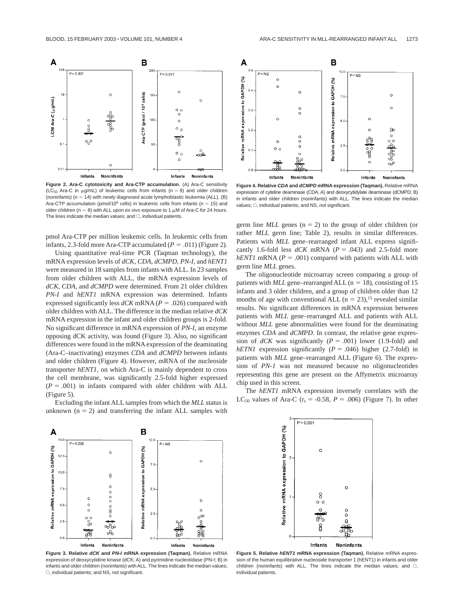

**Figure 2. Ara-C cytotoxicity and Ara-CTP accumulation.** (A) Ara-C sensitivity (LC<sub>50</sub> Ara-C in  $\mu$ g/mL) of leukemic cells from infants (n = 9) and older children (noninfants) ( $n = 14$ ) with newly diagnosed acute lymphoblastic leukemia (ALL). (B) Ara-CTP accumulation (pmol/10<sup>6</sup> cells) in leukemic cells from infants ( $n = 15$ ) and older children (n = 8) with ALL upon ex vivo exposure to 1  $\mu$ M of Ara-C for 24 hours. The lines indicate the median values; and  $\bigcirc$ , individual patients.

pmol Ara-CTP per million leukemic cells. In leukemic cells from infants, 2.3-fold more Ara-CTP accumulated  $(P = .011)$  (Figure 2).

Using quantitative real-time PCR (Taqman technology), the mRNA expression levels of *dCK*, *CDA*, *dCMPD*, *PN-I,* and *hENT1* were measured in 18 samples from infants with ALL. In 23 samples from older children with ALL, the mRNA expression levels of *dCK*, *CDA,* and *dCMPD* were determined. From 21 older children *PN-I* and *hENT1* mRNA expression was determined. Infants expressed significantly less  $dCK$  mRNA ( $P = .026$ ) compared with older children with ALL. The difference in the median relative *dCK* mRNA expression in the infant and older children groups is 2-fold. No significant difference in mRNA expression of *PN-I*, an enzyme opposing dCK activity, was found (Figure 3). Also, no significant differences were found in the mRNA expression of the deaminating (Ara-C–inactivating) enzymes *CDA* and *dCMPD* between infants and older children (Figure 4). However, mRNA of the nucleoside transporter *hENT1*, on which Ara-C is mainly dependent to cross the cell membrane, was significantly 2.5-fold higher expressed  $(P = .001)$  in infants compared with older children with ALL (Figure 5).

Excluding the infant ALL samples from which the *MLL* status is unknown  $(n = 2)$  and transferring the infant ALL samples with



**Figure 4. Relative CDA and dCMPD mRNA expression (Taqman).** Relative mRNA expression of cytidine deaminase (CDA; A) and deoxycytidylate deaminase (dCMPD; B) in infants and older children (noninfants) with ALL. The lines indicate the median values;  $\bigcirc$ , individual patients; and NS, not significant.

germ line  $MLL$  genes ( $n = 2$ ) to the group of older children (or rather *MLL* germ line; Table 2), results in similar differences. Patients with  $MLL$  gene–rearranged infant ALL express significantly 1.6-fold less  $dCK$  mRNA ( $P = .043$ ) and 2.5-fold more  $hENT1$  mRNA ( $P = .001$ ) compared with patients with ALL with germ line *MLL* genes.

The oligonucleotide microarray screen comparing a group of patients with  $MLL$  gene–rearranged ALL ( $n = 18$ ), consisting of 15 infants and 3 older children, and a group of children older than 12 months of age with conventional ALL ( $n = 23$ ),<sup>15</sup> revealed similar results. No significant differences in mRNA expression between patients with *MLL* gene–rearranged ALL and patients with ALL without *MLL* gene abnormalities were found for the deaminating enzymes *CDA* and *dCMPD*. In contrast, the relative gene expression of  $dCK$  was significantly ( $P = .001$ ) lower (1.9-fold) and *hETN1* expression significantly ( $P = .046$ ) higher (2.7-fold) in patients with *MLL* gene–rearranged ALL (Figure 6). The expression of *PN-1* was not measured because no oligonucleotides representing this gene are present on the Affymetrix microarray chip used in this screen.

The *hENT1* mRNA expression inversely correlates with the LC<sub>50</sub> values of Ara-C ( $r_s = -0.58$ ,  $P = .006$ ) (Figure 7). In other



**Figure 3. Relative dCK and PN-I mRNA expression (Taqman).** Relative mRNA expression of deoxycytidine kinase (dCK; A) and pyrimidine nucleotidase (PN-I; B) in infants and older children (noninfants) with ALL. The lines indicate the median values;  $\circ$ , individual patients; and NS, not significant.



**Figure 5. Relative hENT1 mRNA expression (Taqman).** Relative mRNA expression of the human equilibrative nucleoside transporter 1 (hENT1) in infants and older children (noninfants) with ALL. The lines indicate the median values; and  $\bigcirc$ , individual patients.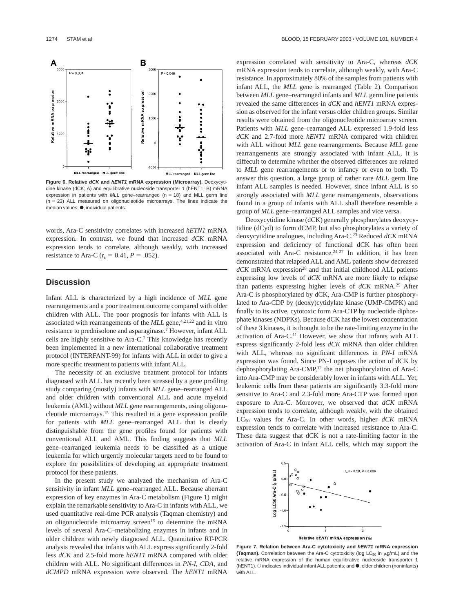

**Figure 6. Relative dCK and hENT1 mRNA expression (Microarray).** Deoxycytidine kinase (dCK; A) and equilibrative nucleoside transporter 1 (hENT1; B) mRNA expression in patients with  $MLL$  gene–rearranged (n = 18) and MLL germ line  $(n = 23)$  ALL measured on oligonucleotide microarrays. The lines indicate the  $median$  values;  $\bullet$ , individual patients.

words, Ara-C sensitivity correlates with increased *hETN1* mRNA expression. In contrast, we found that increased *dCK* mRNA expression tends to correlate, although weakly, with increased resistance to Ara-C ( $r_s = 0.41, P = .052$ ).

## **Discussion**

Infant ALL is characterized by a high incidence of *MLL* gene rearrangements and a poor treatment outcome compared with older children with ALL. The poor prognosis for infants with ALL is associated with rearrangements of the *MLL* gene,<sup>4,21,22</sup> and in vitro resistance to prednisolone and asparaginase.7 However, infant ALL cells are highly sensitive to Ara-C.7 This knowledge has recently been implemented in a new international collaborative treatment protocol (INTERFANT-99) for infants with ALL in order to give a more specific treatment to patients with infant ALL.

The necessity of an exclusive treatment protocol for infants diagnosed with ALL has recently been stressed by a gene profiling study comparing (mostly) infants with *MLL* gene–rearranged ALL and older children with conventional ALL and acute myeloid leukemia (AML) without *MLL* gene rearrangements, using oligonucleotide microarrays.15 This resulted in a gene expression profile for patients with *MLL* gene–rearranged ALL that is clearly distinguishable from the gene profiles found for patients with conventional ALL and AML. This finding suggests that *MLL* gene–rearranged leukemia needs to be classified as a unique leukemia for which urgently molecular targets need to be found to explore the possibilities of developing an appropriate treatment protocol for these patients.

In the present study we analyzed the mechanism of Ara-C sensitivity in infant *MLL* gene–rearranged ALL. Because aberrant expression of key enzymes in Ara-C metabolism (Figure 1) might explain the remarkable sensitivity to Ara-C in infants with ALL, we used quantitative real-time PCR analysis (Taqman chemistry) and an oligonucleotide microarray screen<sup>15</sup> to determine the mRNA levels of several Ara-C–metabolizing enzymes in infants and in older children with newly diagnosed ALL. Quantitative RT-PCR analysis revealed that infants with ALL express significantly 2-fold less *dCK* and 2.5-fold more *hENT1* mRNA compared with older children with ALL. No significant differences in *PN-I*, *CDA,* and *dCMPD* mRNA expression were observed. The *hENT1* mRNA expression correlated with sensitivity to Ara-C, whereas *dCK* mRNA expression tends to correlate, although weakly, with Ara-C resistance. In approximately 80% of the samples from patients with infant ALL, the *MLL* gene is rearranged (Table 2). Comparison between *MLL* gene–rearranged infants and *MLL* germ line patients revealed the same differences in *dCK* and *hENT1* mRNA expression as observed for the infant versus older children groups. Similar results were obtained from the oligonucleotide microarray screen. Patients with *MLL* gene–rearranged ALL expressed 1.9-fold less *dCK* and 2.7-fold more *hENT1* mRNA compared with children with ALL without *MLL* gene rearrangements. Because *MLL* gene rearrangements are strongly associated with infant ALL, it is diffecult to determine whether the observed differences are related to *MLL* gene rearrangements or to infancy or even to both. To answer this question, a large group of rather rare *MLL* germ line infant ALL samples is needed. However, since infant ALL is so strongly associated with *MLL* gene rearrangements, observations found in a group of infants with ALL shall therefore resemble a group of *MLL* gene–rearranged ALL samples and vice versa.

Deoxycytidine kinase (dCK) generally phosphorylates deoxycytidine (dCyd) to form dCMP, but also phosphorylates a variety of deoxycytidine analogues, including Ara-C.23 Reduced *dCK* mRNA expression and deficiency of functional dCK has often been associated with Ara-C resistance.<sup>24-27</sup> In addition, it has been demonstrated that relapsed ALL and AML patients show decreased  $dCK$  mRNA expression<sup>28</sup> and that initial childhood ALL patients expressing low levels of *dCK* mRNA are more likely to relapse than patients expressing higher levels of *dCK* mRNA.29 After Ara-C is phosphorylated by dCK, Ara-CMP is further phosphorylated to Ara-CDP by (deoxy)cytidylate kinase (UMP-CMPK) and finally to its active, cytotoxic form Ara-CTP by nucleotide diphosphate kinases (NDPKs). Because dCK has the lowest concentration of these 3 kinases, it is thought to be the rate-limiting enzyme in the activation of Ara-C.11 However, we show that infants with ALL express significantly 2-fold less *dCK* mRNA than older children with ALL, whereas no significant differences in *PN-I* mRNA expression was found. Since PN-I opposes the action of dCK by dephosphorylating Ara-CMP,12 the net phosphorylation of Ara-C into Ara-CMP may be considerably lower in infants with ALL. Yet, leukemic cells from these patients are significantly 3.3-fold more sensitive to Ara-C and 2.3-fold more Ara-CTP was formed upon exposure to Ara-C. Moreover, we observed that *dCK* mRNA expression tends to correlate, although weakly, with the obtained  $LC_{50}$  values for Ara-C. In other words, higher  $dCK$  mRNA expression tends to correlate with increased resistance to Ara-C. These data suggest that dCK is not a rate-limiting factor in the activation of Ara-C in infant ALL cells, which may support the



**Figure 7. Relation between Ara-C cytotoxicity and hENT1 mRNA expression (Taqman).** Correlation between the Ara-C cytotoxicity (log  $LC_{50}$  in  $\mu$ g/mL) and the relative mRNA expression of the human equilibrative nucleoside transporter 1 (hENT1).  $\circ$  indicates individual infant ALL patients; and  $\bullet$ , older children (noninfants) with ALL.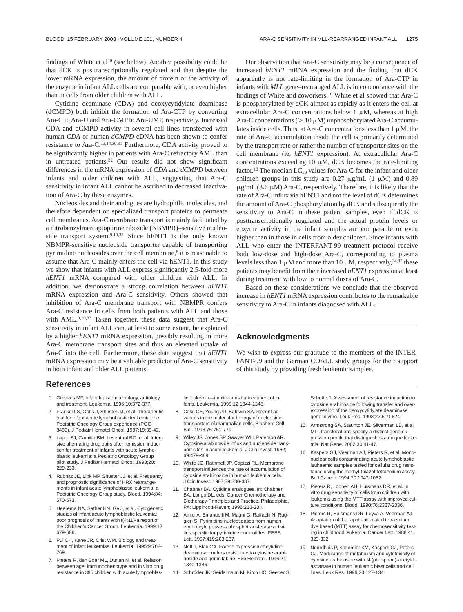findings of White et al<sup>10</sup> (see below). Another possibility could be that dCK is posttranscriptionally regulated and that despite the lower mRNA expression, the amount of protein or the activity of the enzyme in infant ALL cells are comparable with, or even higher than in cells from older children with ALL.

Cytidine deaminase (CDA) and deoxycytidylate deaminase (dCMPD) both inhibit the formation of Ara-CTP by converting Ara-C to Ara-U and Ara-CMP to Ara-UMP, respectively. Increased CDA and dCMPD activity in several cell lines transfected with human *CDA* or human *dCMPD* cDNA has been shown to confer resistance to Ara-C.13,14,30,31 Furthermore, CDA activity proved to be significantly higher in patients with Ara-C refractory AML than in untreated patients.32 Our results did not show significant differences in the mRNA expression of *CDA* and *dCMPD* between infants and older children with ALL, suggesting that Ara-C sensitivity in infant ALL cannot be ascribed to decreased inactivation of Ara-C by these enzymes.

Nucleosides and their analogues are hydrophilic molecules, and therefore dependent on specialized transport proteins to permeate cell membranes. Ara-C membrane transport is mainly facilitated by a nitrobenzylmercaptopurine riboside (NBMPR)–sensitive nucleoside transport system.9,10,33 Since hENT1 is the only known NBMPR-sensitive nucleoside transporter capable of transporting pyrimidine nucleosides over the cell membrane,<sup>8</sup> it is reasonable to assume that Ara-C mainly enters the cell via hENT1. In this study we show that infants with ALL express significantly 2.5-fold more *hENT1* mRNA compared with older children with ALL. In addition, we demonstrate a strong correlation between *hENT1* mRNA expression and Ara-C sensitivity. Others showed that inhibition of Ara-C membrane transport with NBMPR confers Ara-C resistance in cells from both patients with ALL and those with AML.<sup>9,10,33</sup> Taken together, these data suggest that Ara-C sensitivity in infant ALL can, at least to some extent, be explained by a higher *hENT1* mRNA expression, possibly resulting in more Ara-C membrane transport sites and thus an elevated uptake of Ara-C into the cell. Furthermore, these data suggest that *hENT1* mRNA expression may be a valuable predictor of Ara-C sensitivity in both infant and older ALL patients.

Our observation that Ara-C sensitivity may be a consequence of increased *hENT1* mRNA expression and the finding that dCK apparently is not rate-limiting in the formation of Ara-CTP in infants with *MLL* gene–rearranged ALL is in concordance with the findings of White and coworkers.10 White et al showed that Ara-C is phosphorylated by dCK almost as rapidly as it enters the cell at extracellular Ara-C concentrations below  $1 \mu M$ , whereas at high Ara-C concentrations ( $> 10 \mu$ M) unphosphorylated Ara-C accumulates inside cells. Thus, at Ara-C concentrations less than  $1 \mu M$ , the rate of Ara-C accumulation inside the cell is primarily determined by the transport rate or rather the number of transporter sites on the cell membrane (ie, *hENT1* expression). At extracellular Ara-C concentrations exceeding 10  $\mu$ M, dCK becomes the rate-limiting factor.<sup>10</sup> The median LC<sub>50</sub> values for Ara-C for the infant and older children groups in this study are 0.27  $\mu$ g/mL (1  $\mu$ M) and 0.89  $\mu$ g/mL (3.6  $\mu$ M) Ara-C, respectively. Therefore, it is likely that the rate of Ara-C influx via hENT1 and not the level of dCK determines the amount of Ara-C phosphorylation by dCK and subsequently the sensitivity to Ara-C in these patient samples, even if dCK is posttranscriptionally regulated and the actual protein levels or enzyme activity in the infant samples are comparable or even higher than in those in cells from older children. Since infants with ALL who enter the INTERFANT-99 treatment protocol receive both low-dose and high-dose Ara-C, corresponding to plasma levels less than 1  $\mu$ M and more than 10  $\mu$ M, respectively,<sup>34,35</sup> these patients may benefit from their increased *hENT1* expression at least during treatment with low to normal doses of Ara-C.

Based on these considerations we conclude that the observed increase in *hENT1* mRNA expression contributes to the remarkable sensitivity to Ara-C in infants diagnosed with ALL.

## **Acknowledgments**

We wish to express our gratitude to the members of the INTER-FANT-99 and the German COALL study groups for their support of this study by providing fresh leukemic samples.

### **References**

- 1. Greaves MF. Infant leukaemia biology, aetiology and treatment. Leukemia. 1996;10:372-377.
- 2. Frankel LS, Ochs J, Shuster JJ, et al. Therapeutic trial for infant acute lymphoblastic leukemia: the Pediatric Oncology Group experience (POG 8493). J Pediatr Hematol Oncol. 1997;19:35-42.
- 3. Lauer SJ, Camitta BM, Leventhal BG, et al. Intensive alternating drug pairs after remission induction for treatment of infants with acute lymphoblastic leukemia: a Pediatric Oncology Group pilot study. J Pediatr Hematol Oncol. 1998;20: 229-233.
- 4. Rubnitz JE, Link MP, Shuster JJ, et al. Frequency and prognostic significance of HRX rearrangements in infant acute lymphoblastic leukemia: a Pediatric Oncology Group study. Blood. 1994;84: 570-573.
- 5. Heerema NA, Sather HN, Ge J, et al. Cytogenetic studies of infant acute lymphoblastic leukemia: poor prognosis of infants with t(4;11)-a report of the Children's Cancer Group. Leukemia. 1999;13: 679-686.
- 6. Pui CH, Kane JR, Crist WM. Biology and treatment of infant leukemias. Leukemia. 1995;9:762- 769.
- 7. Pieters R, den Boer ML, Durian M, et al. Relation between age, immunophenotype and in vitro drug resistance in 395 children with acute lymphoblas-

tic leukemia—implications for treatment of infants. Leukemia. 1998;12:1344-1348.

- 8. Cass CE, Young JD, Baldwin SA. Recent advances in the molecular biology of nucleoside transporters of mammalian cells. Biochem Cell Biol. 1998;76:761-770.
- 9. Wiley JS, Jones SP, Sawyer WH, Paterson AR. Cytosine arabinoside influx and nucleoside transport sites in acute leukemia. J Clin Invest. 1982; 69:479-489.
- 10. White JC, Rathmell JP, Capizzi RL. Membrane transport influences the rate of accumulation of cytosine arabinoside in human leukemia cells. J Clin Invest. 1987;79:380-387.
- 11. Chabner BA. Cytidine analogues. In: Chabner BA, Longo DL, eds. Cancer Chemotherapy and Biotherapy-Principles and Practice. Philadelphia, PA: Lippincott-Raven; 1996:213-234.
- 12. Amici A, Emanuelli M, Magni G, Raffaelli N, Ruggieri S. Pyrimidine nucleotidases from human erythrocyte possess phosphotransferase activities specific for pyrimidine nucleotides. FEBS Lett. 1997;419:263-267.
- 13. Neff T, Blau CA. Forced expression of cytidine deaminase confers resistance to cytosine arabinoside and gemcitabine. Exp Hematol. 1996;24: 1340-1346.
- 14. Schröder JK, Seidelmann M, Kirch HC, Seeber S,

Schutte J. Assessment of resistance induction to cytosine arabinoside following transfer and overexpression of the deoxycytidylate deaminase gene in vitro. Leuk Res. 1998;22:619-624.

- 15. Armstrong SA, Staunton JE, Silverman LB, et al. MLL translocations specify a distinct gene expression profile that distinguishes a unique leukemia. Nat Gene. 2002;30:41-47.
- 16. Kaspers GJ, Veerman AJ, Pieters R, et al. Mononuclear cells contaminating acute lymphoblastic leukaemic samples tested for cellular drug resistance using the methyl-thiazol-tetrazolium assay. Br J Cancer. 1994;70:1047-1052.
- 17. Pieters R, Loonen AH, Huismans DR, et al. In vitro drug sensitivity of cells from children with leukemia using the MTT assay with improved culture conditions. Blood. 1990;76:2327-2336.
- 18. Pieters R, Huismans DR, Leyva A, Veerman AJ. Adaptation of the rapid automated tetrazolium dye based (MTT) assay for chemosensitivity testing in childhood leukemia. Cancer Lett. 1988;41: 323-332.
- 19. Noordhuis P, Kazemier KM, Kaspers GJ, Peters GJ. Modulation of metabolism and cytotoxicity of cytosine arabinoside with N-(phosphon)-acetyl-Laspartate in human leukemic blast cells and cell lines. Leuk Res. 1996;20:127-134.